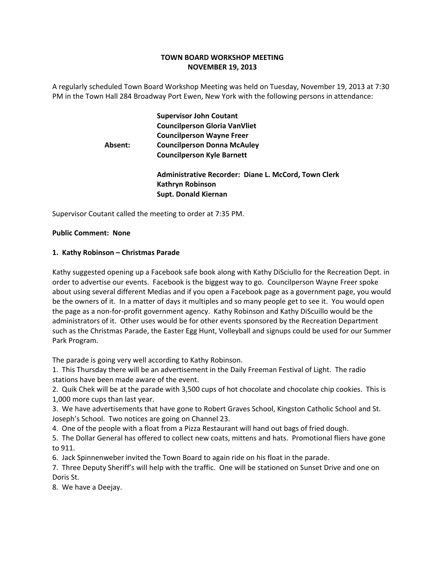# **TOWN BOARD WORKSHOP MEETING NOVEMBER 19, 2013**

A regularly scheduled Town Board Workshop Meeting was held on Tuesday, November 19, 2013 at 7:30 PM in the Town Hall 284 Broadway Port Ewen, New York with the following persons in attendance:

|         | <b>Supervisor John Coutant</b><br><b>Councilperson Gloria VanVliet</b>          |
|---------|---------------------------------------------------------------------------------|
|         | <b>Councilperson Wayne Freer</b>                                                |
| Absent: | <b>Councilperson Donna McAuley</b>                                              |
|         | <b>Councilperson Kyle Barnett</b>                                               |
|         | Administrative Recorder: Diane L. McCord, Town Clerk<br><b>Kathryn Robinson</b> |
|         | <b>Supt. Donald Kiernan</b>                                                     |

Supervisor Coutant called the meeting to order at 7:35 PM.

## **Public Comment: None**

## **1. Kathy Robinson – Christmas Parade**

Kathy suggested opening up a Facebook safe book along with Kathy DiSciullo for the Recreation Dept. in order to advertise our events. Facebook is the biggest way to go. Councilperson Wayne Freer spoke about using several different Medias and if you open a Facebook page as a government page, you would be the owners of it. In a matter of days it multiples and so many people get to see it. You would open the page as a non‐for‐profit government agency. Kathy Robinson and Kathy DiScuillo would be the administrators of it. Other uses would be for other events sponsored by the Recreation Department such as the Christmas Parade, the Easter Egg Hunt, Volleyball and signups could be used for our Summer Park Program.

The parade is going very well according to Kathy Robinson.

1. This Thursday there will be an advertisement in the Daily Freeman Festival of Light. The radio stations have been made aware of the event.

2. Quik Chek will be at the parade with 3,500 cups of hot chocolate and chocolate chip cookies. This is 1,000 more cups than last year.

3. We have advertisements that have gone to Robert Graves School, Kingston Catholic School and St. Joseph's School. Two notices are going on Channel 23.

4. One of the people with a float from a Pizza Restaurant will hand out bags of fried dough.

5. The Dollar General has offered to collect new coats, mittens and hats. Promotional fliers have gone to 911.

6. Jack Spinnenweber invited the Town Board to again ride on his float in the parade.

7. Three Deputy Sheriff's will help with the traffic. One will be stationed on Sunset Drive and one on Doris St.

8. We have a Deejay.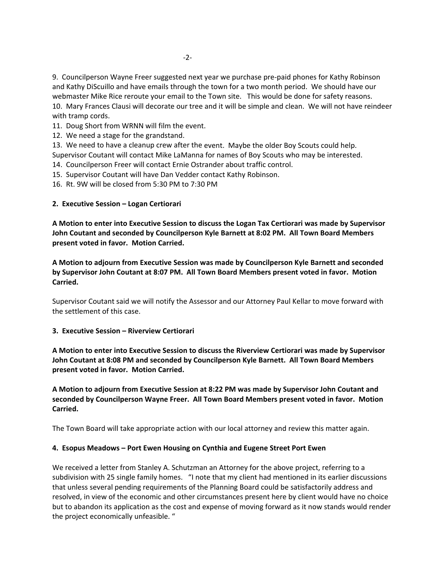9. Councilperson Wayne Freer suggested next year we purchase pre‐paid phones for Kathy Robinson and Kathy DiScuillo and have emails through the town for a two month period. We should have our webmaster Mike Rice reroute your email to the Town site. This would be done for safety reasons. 10. Mary Frances Clausi will decorate our tree and it will be simple and clean. We will not have reindeer with tramp cords.

11. Doug Short from WRNN will film the event.

12. We need a stage for the grandstand.

13. We need to have a cleanup crew after the event. Maybe the older Boy Scouts could help.

Supervisor Coutant will contact Mike LaManna for names of Boy Scouts who may be interested.

14. Councilperson Freer will contact Ernie Ostrander about traffic control.

15. Supervisor Coutant will have Dan Vedder contact Kathy Robinson.

16. Rt. 9W will be closed from 5:30 PM to 7:30 PM

# **2. Executive Session – Logan Certiorari**

**A Motion to enter into Executive Session to discuss the Logan Tax Certiorari was made by Supervisor John Coutant and seconded by Councilperson Kyle Barnett at 8:02 PM. All Town Board Members present voted in favor. Motion Carried.**

**A Motion to adjourn from Executive Session was made by Councilperson Kyle Barnett and seconded by Supervisor John Coutant at 8:07 PM. All Town Board Members present voted in favor. Motion Carried.**

Supervisor Coutant said we will notify the Assessor and our Attorney Paul Kellar to move forward with the settlement of this case.

## **3. Executive Session – Riverview Certiorari**

**A Motion to enter into Executive Session to discuss the Riverview Certiorari was made by Supervisor John Coutant at 8:08 PM and seconded by Councilperson Kyle Barnett. All Town Board Members present voted in favor. Motion Carried.**

**A Motion to adjourn from Executive Session at 8:22 PM was made by Supervisor John Coutant and seconded by Councilperson Wayne Freer. All Town Board Members present voted in favor. Motion Carried.**

The Town Board will take appropriate action with our local attorney and review this matter again.

# **4. Esopus Meadows – Port Ewen Housing on Cynthia and Eugene Street Port Ewen**

We received a letter from Stanley A. Schutzman an Attorney for the above project, referring to a subdivision with 25 single family homes. "I note that my client had mentioned in its earlier discussions that unless several pending requirements of the Planning Board could be satisfactorily address and resolved, in view of the economic and other circumstances present here by client would have no choice but to abandon its application as the cost and expense of moving forward as it now stands would render the project economically unfeasible. "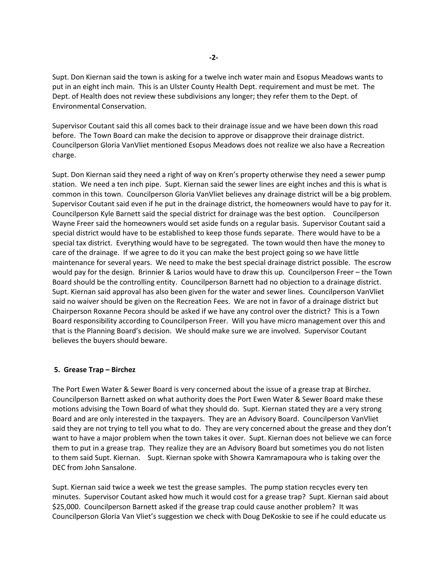Supt. Don Kiernan said the town is asking for a twelve inch water main and Esopus Meadows wants to put in an eight inch main. This is an Ulster County Health Dept. requirement and must be met. The Dept. of Health does not review these subdivisions any longer; they refer them to the Dept. of Environmental Conservation.

Supervisor Coutant said this all comes back to their drainage issue and we have been down this road before. The Town Board can make the decision to approve or disapprove their drainage district. Councilperson Gloria VanVliet mentioned Esopus Meadows does not realize we also have a Recreation charge.

Supt. Don Kiernan said they need a right of way on Kren's property otherwise they need a sewer pump station. We need a ten inch pipe. Supt. Kiernan said the sewer lines are eight inches and this is what is common in this town. Councilperson Gloria VanVliet believes any drainage district will be a big problem. Supervisor Coutant said even if he put in the drainage district, the homeowners would have to pay for it. Councilperson Kyle Barnett said the special district for drainage was the best option. Councilperson Wayne Freer said the homeowners would set aside funds on a regular basis. Supervisor Coutant said a special district would have to be established to keep those funds separate. There would have to be a special tax district. Everything would have to be segregated. The town would then have the money to care of the drainage. If we agree to do it you can make the best project going so we have little maintenance for several years. We need to make the best special drainage district possible. The escrow would pay for the design. Brinnier & Larios would have to draw this up. Councilperson Freer – the Town Board should be the controlling entity. Councilperson Barnett had no objection to a drainage district. Supt. Kiernan said approval has also been given for the water and sewer lines. Councilperson VanVliet said no waiver should be given on the Recreation Fees. We are not in favor of a drainage district but Chairperson Roxanne Pecora should be asked if we have any control over the district? This is a Town Board responsibility according to Councilperson Freer. Will you have micro management over this and that is the Planning Board's decision. We should make sure we are involved. Supervisor Coutant believes the buyers should beware.

## **5. Grease Trap – Birchez**

The Port Ewen Water & Sewer Board is very concerned about the issue of a grease trap at Birchez. Councilperson Barnett asked on what authority does the Port Ewen Water & Sewer Board make these motions advising the Town Board of what they should do. Supt. Kiernan stated they are a very strong Board and are only interested in the taxpayers. They are an Advisory Board. Councilperson VanVliet said they are not trying to tell you what to do. They are very concerned about the grease and they don't want to have a major problem when the town takes it over. Supt. Kiernan does not believe we can force them to put in a grease trap. They realize they are an Advisory Board but sometimes you do not listen to them said Supt. Kiernan. Supt. Kiernan spoke with Showra Kamramapoura who is taking over the DEC from John Sansalone.

Supt. Kiernan said twice a week we test the grease samples. The pump station recycles every ten minutes. Supervisor Coutant asked how much it would cost for a grease trap? Supt. Kiernan said about \$25,000. Councilperson Barnett asked if the grease trap could cause another problem? It was Councilperson Gloria Van Vliet's suggestion we check with Doug DeKoskie to see if he could educate us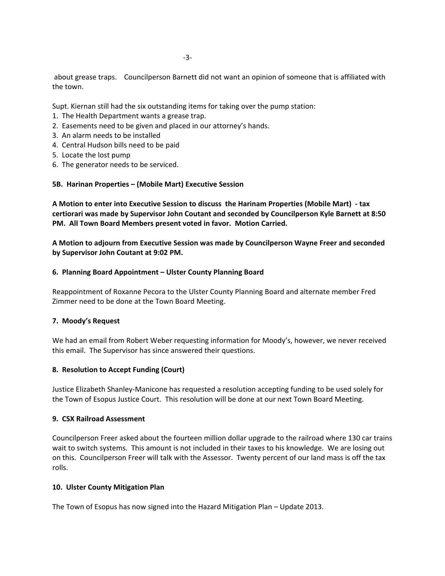about grease traps. Councilperson Barnett did not want an opinion of someone that is affiliated with the town.

Supt. Kiernan still had the six outstanding items for taking over the pump station:

- 1. The Health Department wants a grease trap.
- 2. Easements need to be given and placed in our attorney's hands.
- 3. An alarm needs to be installed
- 4. Central Hudson bills need to be paid
- 5. Locate the lost pump
- 6. The generator needs to be serviced.

## **5B. Harinan Properties – (Mobile Mart) Executive Session**

**A Motion to enter into Executive Session to discuss the Harinam Properties (Mobile Mart) ‐ tax certiorari was made by Supervisor John Coutant and seconded by Councilperson Kyle Barnett at 8:50 PM. All Town Board Members present voted in favor. Motion Carried.**

**A Motion to adjourn from Executive Session was made by Councilperson Wayne Freer and seconded by Supervisor John Coutant at 9:02 PM.**

## **6. Planning Board Appointment – Ulster County Planning Board**

Reappointment of Roxanne Pecora to the Ulster County Planning Board and alternate member Fred Zimmer need to be done at the Town Board Meeting.

## **7. Moody's Request**

We had an email from Robert Weber requesting information for Moody's, however, we never received this email. The Supervisor has since answered their questions.

## **8. Resolution to Accept Funding (Court)**

Justice Elizabeth Shanley‐Manicone has requested a resolution accepting funding to be used solely for the Town of Esopus Justice Court. This resolution will be done at our next Town Board Meeting.

## **9. CSX Railroad Assessment**

Councilperson Freer asked about the fourteen million dollar upgrade to the railroad where 130 car trains wait to switch systems. This amount is not included in their taxes to his knowledge. We are losing out on this. Councilperson Freer will talk with the Assessor. Twenty percent of our land mass is off the tax rolls.

## **10. Ulster County Mitigation Plan**

The Town of Esopus has now signed into the Hazard Mitigation Plan – Update 2013.